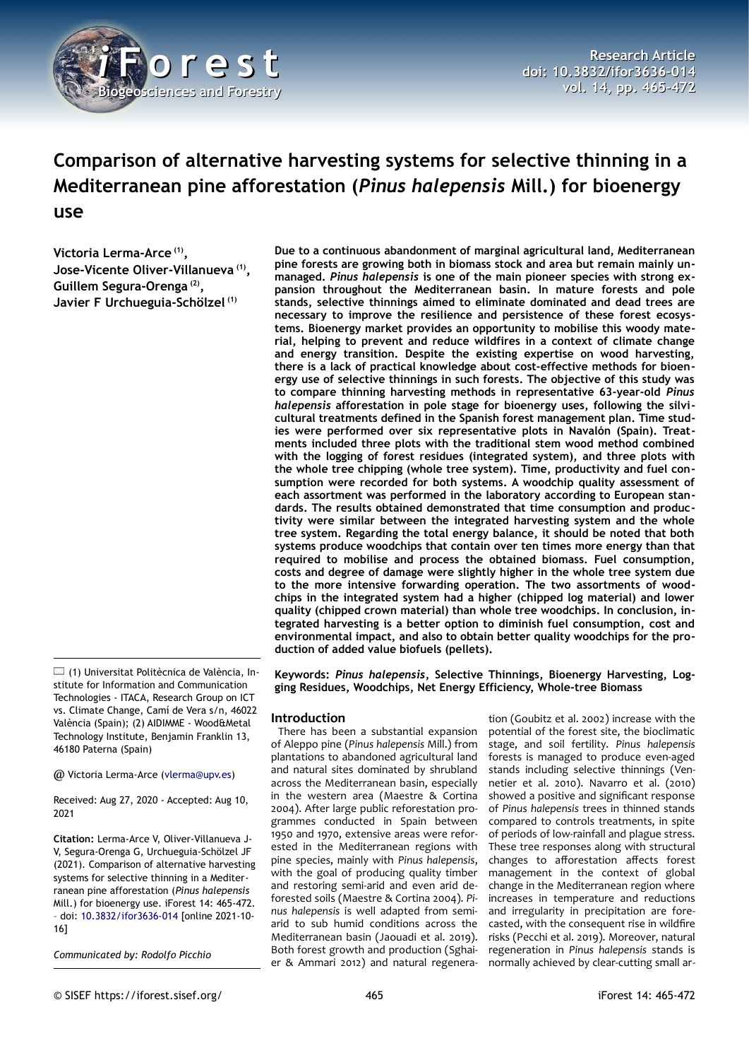

# **Comparison of alternative harvesting systems for selective thinning in a Mediterranean pine afforestation (***Pinus halepensis* **Mill.) for bioenergy use**

**Victoria Lerma-Arce (1) , Jose-Vicente Oliver-Villanueva (1) , Guillem Segura-Orenga (2) , Javier F Urchueguia-Schölzel (1)**

 $\Box$  (1) Universitat Politècnica de València, Institute for Information and Communication Technologies - ITACA, Research Group on ICT vs. Climate Change, Camí de Vera s/n, 46022 València (Spain); (2) AIDIMME - Wood&Metal Technology Institute, Benjamin Franklin 13, 46180 Paterna (Spain)

@ Victoria Lerma-Arce ([vlerma@upv.es](mailto:vlerma@upv.es))

Received: Aug 27, 2020 - Accepted: Aug 10, 2021

**Citation:** Lerma-Arce V, Oliver-Villanueva J-V, Segura-Orenga G, Urchueguia-Schölzel JF (2021). Comparison of alternative harvesting systems for selective thinning in a Mediterranean pine afforestation (*Pinus halepensis* Mill.) for bioenergy use. iForest 14: 465-472. – doi: [10.3832/ifor3636-014](http://www.sisef.it/iforest/contents/?id=ifor3636-014) [online 2021-10- 16]

*Communicated by: Rodolfo Picchio*

**Due to a continuous abandonment of marginal agricultural land, Mediterranean pine forests are growing both in biomass stock and area but remain mainly unmanaged.** *Pinus halepensis* **is one of the main pioneer species with strong expansion throughout the Mediterranean basin. In mature forests and pole stands, selective thinnings aimed to eliminate dominated and dead trees are necessary to improve the resilience and persistence of these forest ecosystems. Bioenergy market provides an opportunity to mobilise this woody material, helping to prevent and reduce wildfires in a context of climate change and energy transition. Despite the existing expertise on wood harvesting, there is a lack of practical knowledge about cost-effective methods for bioenergy use of selective thinnings in such forests. The objective of this study was to compare thinning harvesting methods in representative 63-year-old** *Pinus halepensis* **afforestation in pole stage for bioenergy uses, following the silvicultural treatments defined in the Spanish forest management plan. Time studies were performed over six representative plots in Navalón (Spain). Treatments included three plots with the traditional stem wood method combined with the logging of forest residues (integrated system), and three plots with the whole tree chipping (whole tree system). Time, productivity and fuel consumption were recorded for both systems. A woodchip quality assessment of each assortment was performed in the laboratory according to European standards. The results obtained demonstrated that time consumption and productivity were similar between the integrated harvesting system and the whole tree system. Regarding the total energy balance, it should be noted that both systems produce woodchips that contain over ten times more energy than that required to mobilise and process the obtained biomass. Fuel consumption, costs and degree of damage were slightly higher in the whole tree system due to the more intensive forwarding operation. The two assortments of woodchips in the integrated system had a higher (chipped log material) and lower quality (chipped crown material) than whole tree woodchips. In conclusion, integrated harvesting is a better option to diminish fuel consumption, cost and environmental impact, and also to obtain better quality woodchips for the production of added value biofuels (pellets).**

**Keywords:** *Pinus halepensis***, Selective Thinnings, Bioenergy Harvesting, Logging Residues, Woodchips, Net Energy Efficiency, Whole-tree Biomass**

# **Introduction**

There has been a substantial expansion of Aleppo pine (*Pinus halepensis* Mill.) from plantations to abandoned agricultural land and natural sites dominated by shrubland across the Mediterranean basin, especially in the western area (Maestre & Cortina 2004). After large public reforestation programmes conducted in Spain between 1950 and 1970, extensive areas were reforested in the Mediterranean regions with pine species, mainly with *Pinus halepensis*, with the goal of producing quality timber and restoring semi-arid and even arid deforested soils (Maestre & Cortina 2004). *Pinus halepensis* is well adapted from semiarid to sub humid conditions across the Mediterranean basin (Jaouadi et al. 2019). Both forest growth and production (Sghaier & Ammari 2012) and natural regenera-

tion (Goubitz et al. 2002) increase with the potential of the forest site, the bioclimatic stage, and soil fertility. *Pinus halepensis* forests is managed to produce even-aged stands including selective thinnings (Vennetier et al. 2010). Navarro et al. (2010) showed a positive and significant response of *Pinus halepensis* trees in thinned stands compared to controls treatments, in spite of periods of low-rainfall and plague stress. These tree responses along with structural changes to afforestation affects forest management in the context of global change in the Mediterranean region where increases in temperature and reductions and irregularity in precipitation are forecasted, with the consequent rise in wildfire risks (Pecchi et al. 2019). Moreover, natural regeneration in *Pinus halepensis* stands is normally achieved by clear-cutting small ar-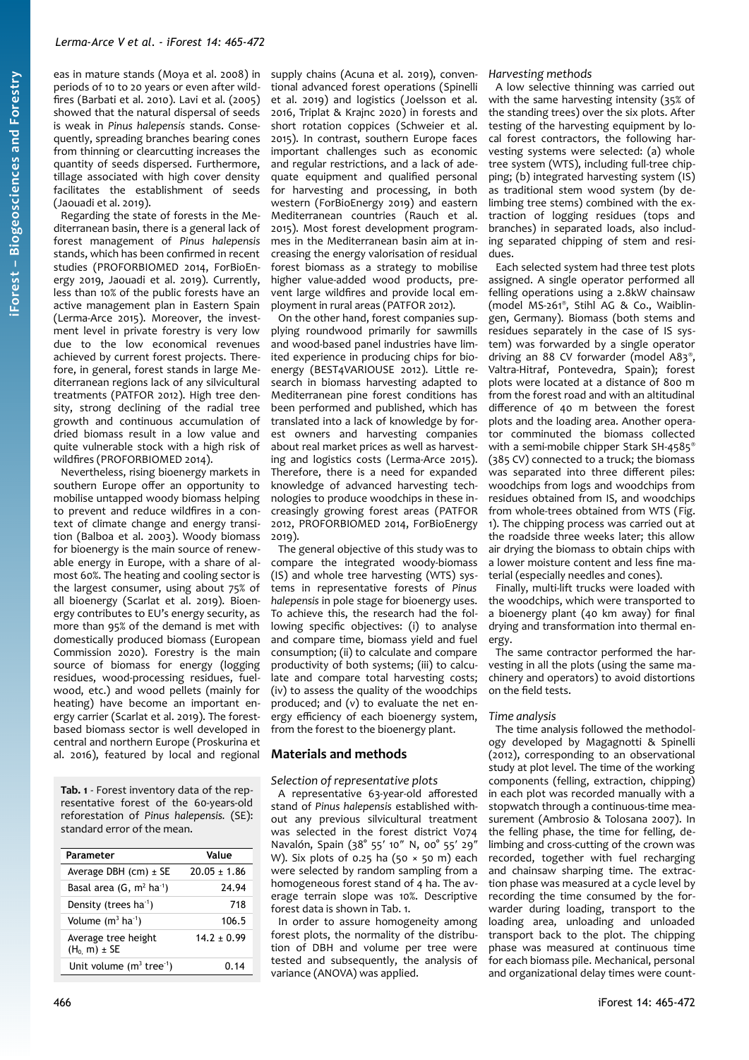eas in mature stands (Moya et al. 2008) in periods of 10 to 20 years or even after wildfires (Barbati et al. 2010). Lavi et al. (2005) showed that the natural dispersal of seeds is weak in *Pinus halepensis* stands. Consequently, spreading branches bearing cones from thinning or clearcutting increases the quantity of seeds dispersed. Furthermore, tillage associated with high cover density facilitates the establishment of seeds (Jaouadi et al. 2019).

Regarding the state of forests in the Mediterranean basin, there is a general lack of forest management of *Pinus halepensis* stands, which has been confirmed in recent studies (PROFORBIOMED 2014, ForBioEnergy 2019, Jaouadi et al. 2019). Currently, less than 10% of the public forests have an active management plan in Eastern Spain (Lerma-Arce 2015). Moreover, the investment level in private forestry is very low due to the low economical revenues achieved by current forest projects. Therefore, in general, forest stands in large Mediterranean regions lack of any silvicultural treatments (PATFOR 2012). High tree density, strong declining of the radial tree growth and continuous accumulation of dried biomass result in a low value and quite vulnerable stock with a high risk of wildfires (PROFORBIOMED 2014).

**iForest –**

**Bio geoscie**

**nces a nd Forestry**

Nevertheless, rising bioenergy markets in southern Europe offer an opportunity to mobilise untapped woody biomass helping to prevent and reduce wildfires in a context of climate change and energy transition (Balboa et al. 2003). Woody biomass for bioenergy is the main source of renewable energy in Europe, with a share of almost 60%. The heating and cooling sector is the largest consumer, using about 75% of all bioenergy (Scarlat et al. 2019). Bioenergy contributes to EU's energy security, as more than 95% of the demand is met with domestically produced biomass (European Commission 2020). Forestry is the main source of biomass for energy (logging residues, wood-processing residues, fuelwood, etc.) and wood pellets (mainly for heating) have become an important energy carrier (Scarlat et al. 2019). The forestbased biomass sector is well developed in central and northern Europe (Proskurina et al. 2016), featured by local and regional

<span id="page-1-0"></span>**Tab. 1** - Forest inventory data of the representative forest of the 60-years-old reforestation of *Pinus halepensis.* (SE): standard error of the mean.

| Parameter                                | Value            |
|------------------------------------------|------------------|
| Average DBH $(cm) \pm SE$                | $20.05 \pm 1.86$ |
| Basal area $(G, m^2 ha^1)$               | 24.94            |
| Density (trees ha <sup>1</sup> )         | 718              |
| Volume $(m^3 \text{ ha}^1)$              | 106.5            |
| Average tree height<br>$(H_0, m) \pm SE$ | $14.2 \pm 0.99$  |
| Unit volume $(m^3$ tree <sup>1</sup> )   | (14              |

supply chains (Acuna et al. 2019), conventional advanced forest operations (Spinelli et al. 2019) and logistics (Joelsson et al. 2016, Triplat & Krajnc 2020) in forests and short rotation coppices (Schweier et al. 2015). In contrast, southern Europe faces important challenges such as economic and regular restrictions, and a lack of adequate equipment and qualified personal for harvesting and processing, in both western (ForBioEnergy 2019) and eastern Mediterranean countries (Rauch et al. 2015). Most forest development programmes in the Mediterranean basin aim at increasing the energy valorisation of residual forest biomass as a strategy to mobilise higher value-added wood products, prevent large wildfires and provide local employment in rural areas (PATFOR 2012).

On the other hand, forest companies supplying roundwood primarily for sawmills and wood-based panel industries have limited experience in producing chips for bioenergy (BEST4VARIOUSE 2012). Little research in biomass harvesting adapted to Mediterranean pine forest conditions has been performed and published, which has translated into a lack of knowledge by forest owners and harvesting companies about real market prices as well as harvesting and logistics costs (Lerma-Arce 2015). Therefore, there is a need for expanded knowledge of advanced harvesting technologies to produce woodchips in these increasingly growing forest areas (PATFOR 2012, PROFORBIOMED 2014, ForBioEnergy 2019).

The general objective of this study was to compare the integrated woody-biomass (IS) and whole tree harvesting (WTS) systems in representative forests of *Pinus halepensis* in pole stage for bioenergy uses. To achieve this, the research had the following specific objectives: (i) to analyse and compare time, biomass yield and fuel consumption; (ii) to calculate and compare productivity of both systems; (iii) to calculate and compare total harvesting costs; (iv) to assess the quality of the woodchips produced; and (v) to evaluate the net energy efficiency of each bioenergy system, from the forest to the bioenergy plant.

# **Materials and methods**

#### *Selection of representative plots*

A representative 63-year-old afforested stand of *Pinus halepensis* established without any previous silvicultural treatment was selected in the forest district V074 Navalón, Spain (38° 55′ 10″ N, 00° 55′ 29″ W). Six plots of 0.25 ha (50  $\times$  50 m) each were selected by random sampling from a homogeneous forest stand of 4 ha. The average terrain slope was 10%. Descriptive forest data is shown in [Tab. 1](#page-1-0).

In order to assure homogeneity among forest plots, the normality of the distribution of DBH and volume per tree were tested and subsequently, the analysis of variance (ANOVA) was applied.

#### *Harvesting methods*

A low selective thinning was carried out with the same harvesting intensity (35% of the standing trees) over the six plots. After testing of the harvesting equipment by local forest contractors, the following harvesting systems were selected: (a) whole tree system (WTS), including full-tree chipping; (b) integrated harvesting system (IS) as traditional stem wood system (by delimbing tree stems) combined with the extraction of logging residues (tops and branches) in separated loads, also including separated chipping of stem and residues.

Each selected system had three test plots assigned. A single operator performed all felling operations using a 2.8kW chainsaw (model MS-261® , Stihl AG & Co., Waiblingen, Germany). Biomass (both stems and residues separately in the case of IS system) was forwarded by a single operator driving an 88 CV forwarder (model A83® , Valtra-Hitraf, Pontevedra, Spain); forest plots were located at a distance of 800 m from the forest road and with an altitudinal difference of 40 m between the forest plots and the loading area. Another operator comminuted the biomass collected with a semi-mobile chipper Stark SH-4585® (385 CV) connected to a truck; the biomass was separated into three different piles: woodchips from logs and woodchips from residues obtained from IS, and woodchips from whole-trees obtained from WTS [\(Fig.](#page-2-0) [1\)](#page-2-0). The chipping process was carried out at the roadside three weeks later; this allow air drying the biomass to obtain chips with a lower moisture content and less fine material (especially needles and cones).

Finally, multi-lift trucks were loaded with the woodchips, which were transported to a bioenergy plant (40 km away) for final drying and transformation into thermal energy.

The same contractor performed the harvesting in all the plots (using the same machinery and operators) to avoid distortions on the field tests.

# *Time analysis*

The time analysis followed the methodology developed by Magagnotti & Spinelli (2012), corresponding to an observational study at plot level. The time of the working components (felling, extraction, chipping) in each plot was recorded manually with a stopwatch through a continuous-time measurement (Ambrosio & Tolosana 2007). In the felling phase, the time for felling, delimbing and cross-cutting of the crown was recorded, together with fuel recharging and chainsaw sharping time. The extraction phase was measured at a cycle level by recording the time consumed by the forwarder during loading, transport to the loading area, unloading and unloaded transport back to the plot. The chipping phase was measured at continuous time for each biomass pile. Mechanical, personal and organizational delay times were count-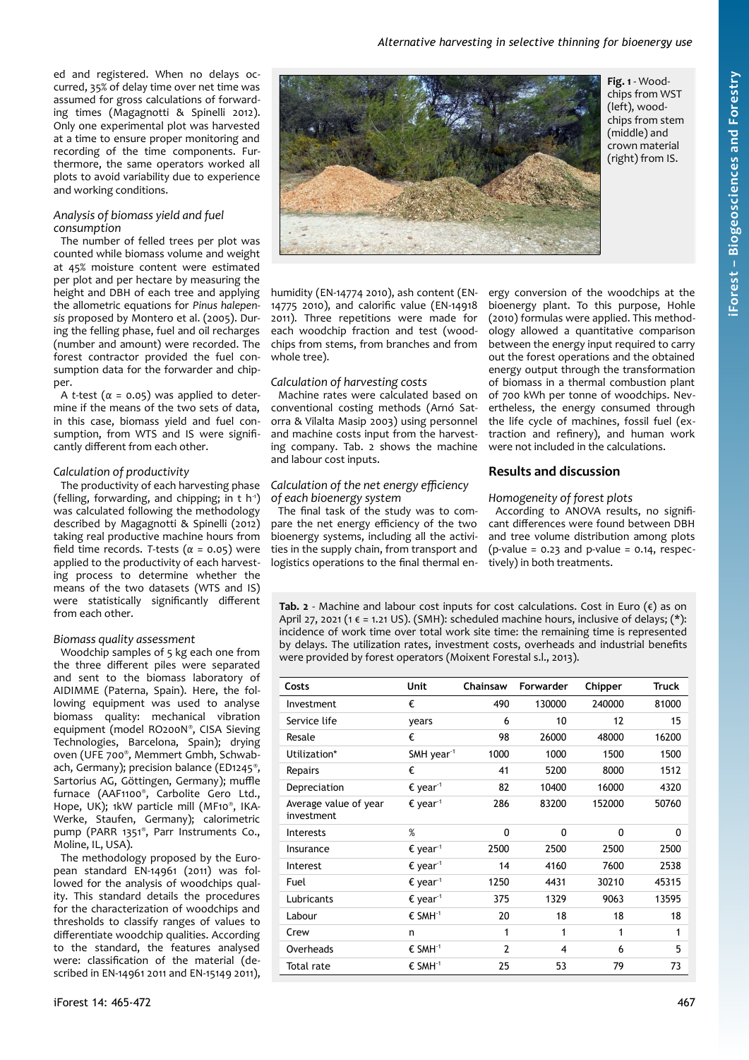ed and registered. When no delays occurred, 35% of delay time over net time was assumed for gross calculations of forwarding times (Magagnotti & Spinelli 2012). Only one experimental plot was harvested at a time to ensure proper monitoring and recording of the time components. Furthermore, the same operators worked all plots to avoid variability due to experience and working conditions.

# *Analysis of biomass yield and fuel consumption*

The number of felled trees per plot was counted while biomass volume and weight at 45% moisture content were estimated per plot and per hectare by measuring the height and DBH of each tree and applying the allometric equations for *Pinus halepensis* proposed by Montero et al. (2005). During the felling phase, fuel and oil recharges (number and amount) were recorded. The forest contractor provided the fuel consumption data for the forwarder and chipper.

A *t*-test ( $\alpha$  = 0.05) was applied to determine if the means of the two sets of data, in this case, biomass yield and fuel consumption, from WTS and IS were significantly different from each other.

# *Calculation of productivity*

The productivity of each harvesting phase (felling, forwarding, and chipping; in t  $h^1$ ) was calculated following the methodology described by Magagnotti & Spinelli (2012) taking real productive machine hours from field time records. *T*-tests (*α* = 0.05) were applied to the productivity of each harvesting process to determine whether the means of the two datasets (WTS and IS) were statistically significantly different from each other.

# *Biomass quality assessment*

Woodchip samples of 5 kg each one from the three different piles were separated and sent to the biomass laboratory of AIDIMME (Paterna, Spain). Here, the following equipment was used to analyse biomass quality: mechanical vibration equipment (model RO200N® , CISA Sieving Technologies, Barcelona, Spain); drying oven (UFE 700® , Memmert Gmbh, Schwabach, Germany); precision balance (ED1245® , Sartorius AG, Göttingen, Germany); muffle furnace (AAF1100® , Carbolite Gero Ltd., Hope, UK); 1kW particle mill (MF10® , IKA-Werke, Staufen, Germany); calorimetric pump (PARR 1351® , Parr Instruments Co., Moline, IL, USA).

The methodology proposed by the European standard EN-14961 (2011) was followed for the analysis of woodchips quality. This standard details the procedures for the characterization of woodchips and thresholds to classify ranges of values to differentiate woodchip qualities. According to the standard, the features analysed were: classification of the material (described in EN-14961 2011 and EN-15149 2011),



<span id="page-2-0"></span>**Fig. 1** - Woodchips from WST (left), woodchips from stem (middle) and crown material (right) from IS.

humidity (EN-14774 2010), ash content (EN-14775 2010), and calorific value (EN-14918 2011). Three repetitions were made for each woodchip fraction and test (woodchips from stems, from branches and from whole tree).

# *Calculation of harvesting costs*

Machine rates were calculated based on conventional costing methods (Arnó Satorra & Vilalta Masip 2003) using personnel and machine costs input from the harvesting company. [Tab. 2](#page-2-1) shows the machine and labour cost inputs.

#### *Calculation of the net energy efficiency of each bioenergy system*

The final task of the study was to compare the net energy efficiency of the two bioenergy systems, including all the activities in the supply chain, from transport and logistics operations to the final thermal en-

ergy conversion of the woodchips at the bioenergy plant. To this purpose, Hohle (2010) formulas were applied. This methodology allowed a quantitative comparison between the energy input required to carry out the forest operations and the obtained energy output through the transformation of biomass in a thermal combustion plant of 700 kWh per tonne of woodchips. Nevertheless, the energy consumed through the life cycle of machines, fossil fuel (extraction and refinery), and human work were not included in the calculations.

# **Results and discussion**

# *Homogeneity of forest plots*

According to ANOVA results, no significant differences were found between DBH and tree volume distribution among plots  $(p-value = 0.23$  and  $p-value = 0.14$ , respectively) in both treatments.

<span id="page-2-1"></span>**Tab. 2** - Machine and labour cost inputs for cost calculations. Cost in Euro  $(\epsilon)$  as on April 27, 2021 (1  $\epsilon$  = 1.21 US). (SMH): scheduled machine hours, inclusive of delays; (\*): incidence of work time over total work site time: the remaining time is represented by delays. The utilization rates, investment costs, overheads and industrial benefits were provided by forest operators (Moixent Forestal s.l., 2013).

| Costs                               | Unit                         | Chainsaw     | Forwarder | Chipper | <b>Truck</b> |
|-------------------------------------|------------------------------|--------------|-----------|---------|--------------|
| Investment                          | €                            | 490          | 130000    | 240000  | 81000        |
| Service life                        | vears                        | 6            | 10        | 12      | 15           |
| Resale                              | €                            | 98           | 26000     | 48000   | 16200        |
| Utilization*                        | SMH year <sup>1</sup>        | 1000         | 1000      | 1500    | 1500         |
| Repairs                             | €                            | 41           | 5200      | 8000    | 1512         |
| Depreciation                        | $\epsilon$ year <sup>1</sup> | 82           | 10400     | 16000   | 4320         |
| Average value of year<br>investment | $\epsilon$ year <sup>1</sup> | 286          | 83200     | 152000  | 50760        |
| <b>Interests</b>                    | $\%$                         | $\mathbf{0}$ | 0         | 0       | 0            |
| Insurance                           | $\epsilon$ year <sup>1</sup> | 2500         | 2500      | 2500    | 2500         |
| Interest                            | $\epsilon$ year <sup>1</sup> | 14           | 4160      | 7600    | 2538         |
| Fuel                                | $\epsilon$ year <sup>1</sup> | 1250         | 4431      | 30210   | 45315        |
| Lubricants                          | $\epsilon$ year <sup>1</sup> | 375          | 1329      | 9063    | 13595        |
| Labour                              | $\epsilon$ SMH <sup>1</sup>  | 20           | 18        | 18      | 18           |
| Crew                                | n                            | 1            | 1         | 1       | 1            |
| Overheads                           | $\epsilon$ SMH <sup>1</sup>  | 2            | 4         | 6       | 5            |
| Total rate                          | $\epsilon$ SMH <sup>1</sup>  | 25           | 53        | 79      | 73           |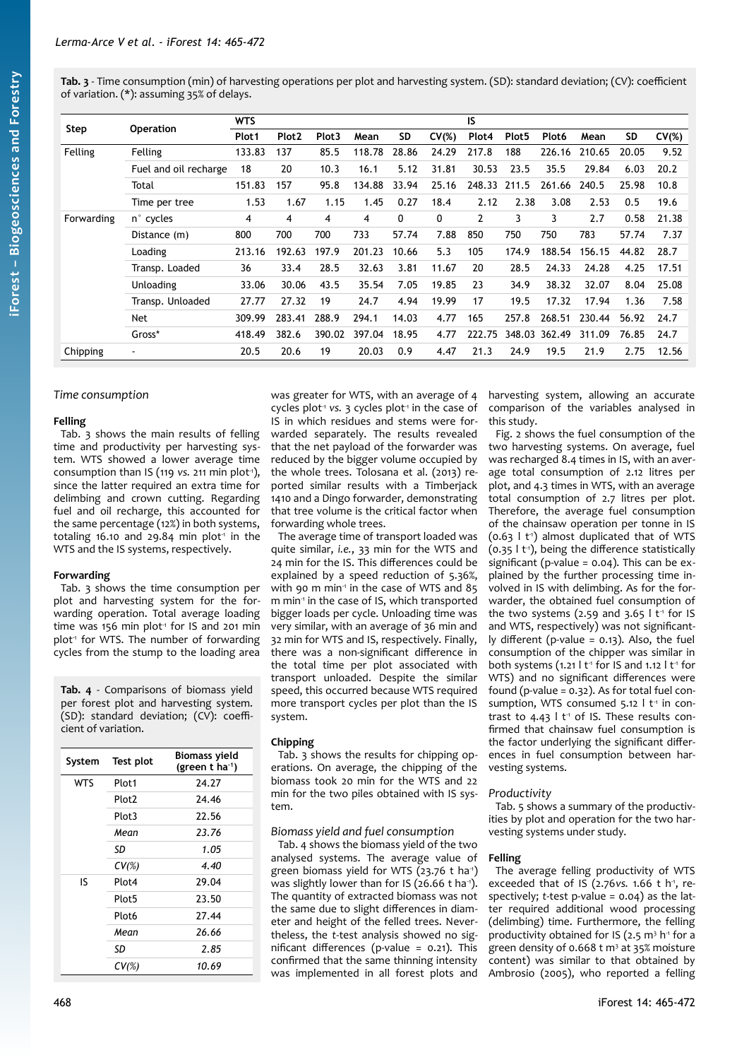<span id="page-3-1"></span>**Tab. 3** - Time consumption (min) of harvesting operations per plot and harvesting system. (SD): standard deviation; (CV): coefficient of variation. (\*): assuming 35% of delays.

|            |                          | <b>WTS</b>        |                   |                   |        | IS    |              |                |                   |                   |        |           |          |
|------------|--------------------------|-------------------|-------------------|-------------------|--------|-------|--------------|----------------|-------------------|-------------------|--------|-----------|----------|
| Step       | <b>Operation</b>         | Plot <sub>1</sub> | Plot <sub>2</sub> | Plot <sub>3</sub> | Mean   | SD    | $CV(\%)$     | Plot4          | Plot <sub>5</sub> | Plot <sub>6</sub> | Mean   | <b>SD</b> | $CV(\%)$ |
| Felling    | Felling                  | 133.83            | 137               | 85.5              | 118.78 | 28.86 | 24.29        | 217.8          | 188               | 226.16            | 210.65 | 20.05     | 9.52     |
|            | Fuel and oil recharge    | 18                | 20                | 10.3              | 16.1   | 5.12  | 31.81        | 30.53          | 23.5              | 35.5              | 29.84  | 6.03      | 20.2     |
|            | Total                    | 151.83            | 157               | 95.8              | 134.88 | 33.94 | 25.16        | 248.33         | 211.5             | 261.66            | 240.5  | 25.98     | 10.8     |
|            | Time per tree            | 1.53              | 1.67              | 1.15              | 1.45   | 0.27  | 18.4         | 2.12           | 2.38              | 3.08              | 2.53   | 0.5       | 19.6     |
| Forwarding | n° cycles                | 4                 | 4                 | 4                 | 4      | 0     | $\mathbf{0}$ | $\overline{2}$ | 3                 | 3                 | 2.7    | 0.58      | 21.38    |
|            | Distance (m)             | 800               | 700               | 700               | 733    | 57.74 | 7.88         | 850            | 750               | 750               | 783    | 57.74     | 7.37     |
|            | Loading                  | 213.16            | 192.63            | 197.9             | 201.23 | 10.66 | 5.3          | 105            | 174.9             | 188.54            | 156.15 | 44.82     | 28.7     |
|            | Transp. Loaded           | 36                | 33.4              | 28.5              | 32.63  | 3.81  | 11.67        | 20             | 28.5              | 24.33             | 24.28  | 4.25      | 17.51    |
|            | Unloading                | 33.06             | 30.06             | 43.5              | 35.54  | 7.05  | 19.85        | 23             | 34.9              | 38.32             | 32.07  | 8.04      | 25.08    |
|            | Transp. Unloaded         | 27.77             | 27.32             | 19                | 24.7   | 4.94  | 19.99        | 17             | 19.5              | 17.32             | 17.94  | 1.36      | 7.58     |
|            | Net                      | 309.99            | 283.41            | 288.9             | 294.1  | 14.03 | 4.77         | 165            | 257.8             | 268.51            | 230.44 | 56.92     | 24.7     |
|            | Gross*                   | 418.49            | 382.6             | 390.02            | 397.04 | 18.95 | 4.77         | 222.75         | 348.03            | 362.49            | 311.09 | 76.85     | 24.7     |
| Chipping   | $\overline{\phantom{a}}$ | 20.5              | 20.6              | 19                | 20.03  | 0.9   | 4.47         | 21.3           | 24.9              | 19.5              | 21.9   | 2.75      | 12.56    |

# *Time consumption*

#### **Felling**

[Tab. 3](#page-3-1) shows the main results of felling time and productivity per harvesting system. WTS showed a lower average time consumption than IS (119 *vs.* 211 min plot<sup>1</sup>), since the latter required an extra time for delimbing and crown cutting. Regarding fuel and oil recharge, this accounted for the same percentage (12%) in both systems, totaling 16.10 and 29.84 min plot<sup>1</sup> in the WTS and the IS systems, respectively.

#### **Forwarding**

[Tab. 3](#page-3-1) shows the time consumption per plot and harvesting system for the forwarding operation. Total average loading time was 156 min plot<sup>1</sup> for IS and 201 min plot<sup>1</sup> for WTS. The number of forwarding cycles from the stump to the loading area

<span id="page-3-0"></span>**Tab. 4** - Comparisons of biomass yield per forest plot and harvesting system. (SD): standard deviation; (CV): coefficient of variation.

| System     | Test plot         | <b>Biomass yield</b><br>(green $t$ ha <sup>-1</sup> ) |
|------------|-------------------|-------------------------------------------------------|
| <b>WTS</b> | Plot1             | 24.27                                                 |
|            | Plot <sub>2</sub> | 24.46                                                 |
|            | Plot3             | 22.56                                                 |
|            | Mean              | 23.76                                                 |
|            | SD                | 1.05                                                  |
|            | $CV(\%)$          | 4.40                                                  |
| IS         | Plot4             | 29.04                                                 |
|            | Plot <sub>5</sub> | 23.50                                                 |
|            | Plot <sub>6</sub> | 27.44                                                 |
|            | Mean              | 26.66                                                 |
|            | SD                | 2.85                                                  |
|            | $CV(\%)$          | 10.69                                                 |

was greater for WTS, with an average of 4 cycles plot<sup>-1</sup> vs. 3 cycles plot<sup>-1</sup> in the case of IS in which residues and stems were forwarded separately. The results revealed that the net payload of the forwarder was reduced by the bigger volume occupied by the whole trees. Tolosana et al. (2013) reported similar results with a Timberjack 1410 and a Dingo forwarder, demonstrating that tree volume is the critical factor when forwarding whole trees.

The average time of transport loaded was quite similar, *i.e.*, 33 min for the WTS and 24 min for the IS. This differences could be explained by a speed reduction of 5.36%, with 90 m min<sup>1</sup> in the case of WTS and 85 m min<sup>1</sup> in the case of IS, which transported bigger loads per cycle. Unloading time was very similar, with an average of 36 min and 32 min for WTS and IS, respectively. Finally, there was a non-significant difference in the total time per plot associated with transport unloaded. Despite the similar speed, this occurred because WTS required more transport cycles per plot than the IS system.

# **Chipping**

[Tab. 3](#page-3-1) shows the results for chipping operations. On average, the chipping of the biomass took 20 min for the WTS and 22 min for the two piles obtained with IS system.

# *Biomass yield and fuel consumption*

[Tab. 4](#page-3-0) shows the biomass yield of the two analysed systems. The average value of green biomass yield for WTS  $(23.76 \text{ t} \text{ ha}^{\text{-}1})$ was slightly lower than for IS (26.66 t ha<sup>1</sup>). The quantity of extracted biomass was not the same due to slight differences in diameter and height of the felled trees. Nevertheless, the *t*-test analysis showed no significant differences (p-value = 0.21). This confirmed that the same thinning intensity was implemented in all forest plots and harvesting system, allowing an accurate comparison of the variables analysed in this study.

[Fig. 2](#page-4-1) shows the fuel consumption of the two harvesting systems. On average, fuel was recharged 8.4 times in IS, with an average total consumption of 2.12 litres per plot, and 4.3 times in WTS, with an average total consumption of 2.7 litres per plot. Therefore, the average fuel consumption of the chainsaw operation per tonne in IS  $(0.63 \mid t)$  almost duplicated that of WTS  $(0.35 \, 1 \, t<sup>-1</sup>)$ , being the difference statistically significant (p-value = 0.04). This can be explained by the further processing time involved in IS with delimbing. As for the forwarder, the obtained fuel consumption of the two systems (2.59 and 3.65  $l$  t<sup>-1</sup> for IS and WTS, respectively) was not significantly different (p-value = 0.13). Also, the fuel consumption of the chipper was similar in both systems (1.21 l  $t<sup>-1</sup>$  for IS and 1.12 l  $t<sup>-1</sup>$  for WTS) and no significant differences were found (p-value =  $0.32$ ). As for total fuel consumption, WTS consumed  $5.12$   $\pm$ <sup>1</sup> in contrast to 4.43  $l$  t<sup>1</sup> of IS. These results confirmed that chainsaw fuel consumption is the factor underlying the significant differences in fuel consumption between harvesting systems.

# *Productivity*

[Tab. 5](#page-4-0) shows a summary of the productivities by plot and operation for the two harvesting systems under study.

# **Felling**

The average felling productivity of WTS exceeded that of IS (2.76*vs.* 1.66 t h<sup>1</sup>, respectively; *t*-test p-value = 0.04) as the latter required additional wood processing (delimbing) time. Furthermore, the felling productivity obtained for IS (2.5  $m<sup>3</sup>$  h<sup>-1</sup> for a green density of 0.668 t m<sup>3</sup> at 35% moisture content) was similar to that obtained by Ambrosio (2005), who reported a felling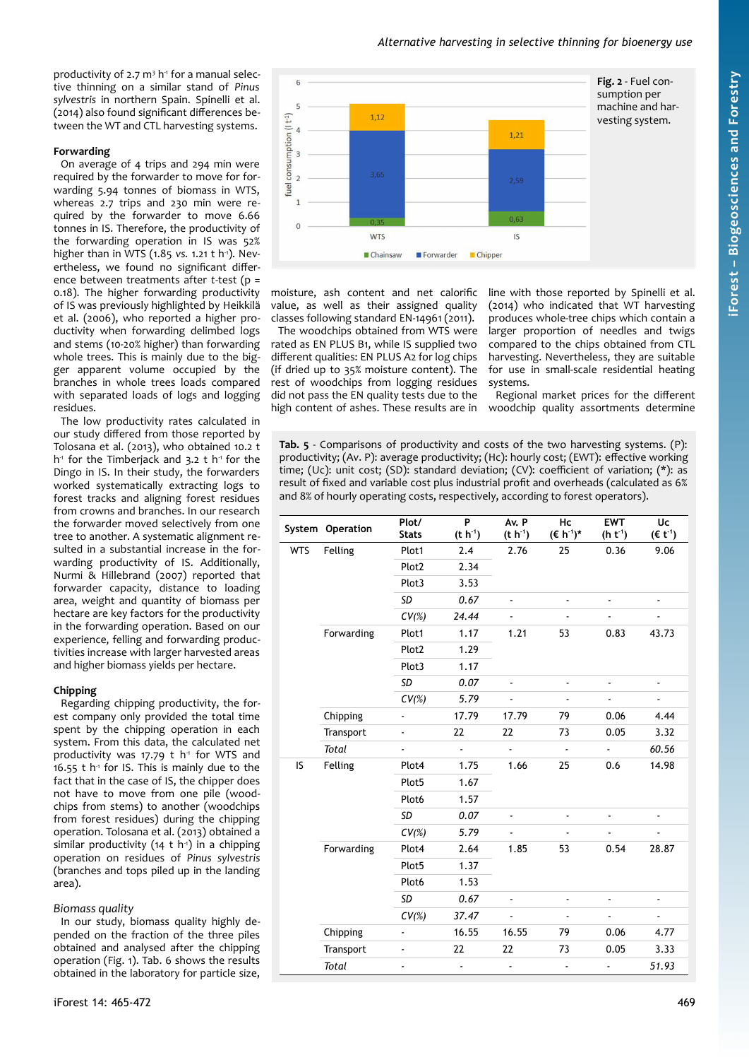# <span id="page-4-1"></span>*Alternative harvesting in selective thinning for bioenergy use*

productivity of 2.7 m<sup>3</sup> h<sup>1</sup> for a manual selective thinning on a similar stand of *Pinus sylvestris* in northern Spain. Spinelli et al. (2014) also found significant differences between the WT and CTL harvesting systems.

# **Forwarding**

On average of 4 trips and 294 min were required by the forwarder to move for forwarding 5.94 tonnes of biomass in WTS, whereas 2.7 trips and 230 min were required by the forwarder to move 6.66 tonnes in IS. Therefore, the productivity of the forwarding operation in IS was 52% higher than in WTS (1.85 *vs.* 1.21 t h<sup>-1</sup>). Nevertheless, we found no significant difference between treatments after *t*-test (p = 0.18). The higher forwarding productivity of IS was previously highlighted by Heikkilä et al. (2006), who reported a higher productivity when forwarding delimbed logs and stems (10-20% higher) than forwarding whole trees. This is mainly due to the bigger apparent volume occupied by the branches in whole trees loads compared with separated loads of logs and logging residues.

The low productivity rates calculated in our study differed from those reported by Tolosana et al. (2013), who obtained 10.2 t h<sup>1</sup> for the Timberjack and 3.2 t h<sup>1</sup> for the Dingo in IS. In their study, the forwarders worked systematically extracting logs to forest tracks and aligning forest residues from crowns and branches. In our research the forwarder moved selectively from one tree to another. A systematic alignment resulted in a substantial increase in the forwarding productivity of IS. Additionally, Nurmi & Hillebrand (2007) reported that forwarder capacity, distance to loading area, weight and quantity of biomass per hectare are key factors for the productivity in the forwarding operation. Based on our experience, felling and forwarding productivities increase with larger harvested areas and higher biomass yields per hectare.

# **Chipping**

Regarding chipping productivity, the forest company only provided the total time spent by the chipping operation in each system. From this data, the calculated net productivity was 17.79  $t$  h<sup>-1</sup> for WTS and 16.55 t  $h^1$  for IS. This is mainly due to the fact that in the case of IS, the chipper does not have to move from one pile (woodchips from stems) to another (woodchips from forest residues) during the chipping operation. Tolosana et al. (2013) obtained a similar productivity (14 t h<sup>1</sup>) in a chipping operation on residues of *Pinus sylvestris* (branches and tops piled up in the landing area).

# *Biomass quality*

In our study, biomass quality highly depended on the fraction of the three piles obtained and analysed after the chipping operation ([Fig. 1](#page-2-0)). [Tab. 6](#page-5-0) shows the results obtained in the laboratory for particle size,



moisture, ash content and net calorific value, as well as their assigned quality classes following standard EN-14961 (2011).

The woodchips obtained from WTS were rated as EN PLUS B1, while IS supplied two different qualities: EN PLUS A2 for log chips (if dried up to 35% moisture content). The rest of woodchips from logging residues did not pass the EN quality tests due to the high content of ashes. These results are in line with those reported by Spinelli et al. (2014) who indicated that WT harvesting produces whole-tree chips which contain a larger proportion of needles and twigs compared to the chips obtained from CTL harvesting. Nevertheless, they are suitable for use in small-scale residential heating systems.

Regional market prices for the different woodchip quality assortments determine

<span id="page-4-0"></span>**Tab. 5** - Comparisons of productivity and costs of the two harvesting systems. (P): productivity; (Av. P): average productivity; (Hc): hourly cost; (EWT): effective working time; (Uc): unit cost; (SD): standard deviation; (CV): coefficient of variation; (\*): as result of fixed and variable cost plus industrial profit and overheads (calculated as 6% and 8% of hourly operating costs, respectively, according to forest operators).

|            | System Operation | Plot/<br><b>Stats</b> | P<br>$(t h^{-1})$        | Av. P<br>$(t h-1)$ | Hc<br>$(E h-1)*$         | <b>EWT</b><br>$(h t-1)$ | Uc<br>$(\epsilon t^{-1})$ |  |
|------------|------------------|-----------------------|--------------------------|--------------------|--------------------------|-------------------------|---------------------------|--|
| <b>WTS</b> | Felling          | Plot1                 | 2.4                      | 2.76               | 25                       | 0.36                    | 9.06                      |  |
|            |                  | Plot <sub>2</sub>     | 2.34                     |                    |                          |                         |                           |  |
|            |                  | Plot3                 | 3.53                     |                    |                          |                         |                           |  |
|            |                  | SD                    | 0.67                     | $\blacksquare$     | $\blacksquare$           | ۰                       | ۰                         |  |
|            |                  | $CV(\%)$              | 24.44                    |                    |                          |                         |                           |  |
|            | Forwarding       | Plot1                 | 1.17                     | 1.21               | 53                       | 0.83                    | 43.73                     |  |
|            |                  | Plot <sub>2</sub>     | 1.29                     |                    |                          |                         |                           |  |
|            |                  | Plot3                 | 1.17                     |                    |                          |                         |                           |  |
|            |                  | SD                    | 0.07                     |                    | $\overline{\phantom{a}}$ |                         | $\blacksquare$            |  |
|            |                  | $CV(\%)$              | 5.79                     |                    | $\overline{\phantom{a}}$ |                         | ۰                         |  |
|            | Chipping         | ۰                     | 17.79                    | 17.79              | 79                       | 0.06                    | 4.44                      |  |
|            | Transport        | ÷.                    | 22                       | 22                 | 73                       | 0.05                    | 3.32                      |  |
|            | Total            | $\blacksquare$        | $\overline{\phantom{a}}$ | $\overline{a}$     | $\overline{\phantom{a}}$ | ÷,                      | 60.56                     |  |
| IS         | Felling          | Plot4                 | 1.75                     | 1.66               | 25                       | 0.6                     | 14.98                     |  |
|            |                  | Plot <sub>5</sub>     | 1.67                     |                    |                          |                         |                           |  |
|            |                  | Plot6                 | 1.57                     |                    |                          |                         |                           |  |
|            |                  | SD                    | 0.07                     |                    |                          |                         |                           |  |
|            |                  | $CV(\%)$              | 5.79                     |                    |                          |                         |                           |  |
|            | Forwarding       | Plot4                 | 2.64                     | 1.85               | 53                       | 0.54                    | 28.87                     |  |
|            |                  | Plot <sub>5</sub>     | 1.37                     |                    |                          |                         |                           |  |
|            |                  | Plot6                 | 1.53                     |                    |                          |                         |                           |  |
|            |                  | SD                    | 0.67                     | ÷                  | -                        | ٠                       |                           |  |
|            |                  | $CV(\%)$              | 37.47                    |                    |                          |                         |                           |  |
|            | Chipping         |                       | 16.55                    | 16.55              | 79                       | 0.06                    | 4.77                      |  |
|            | Transport        |                       | 22                       | 22                 | 73                       | 0.05                    | 3.33                      |  |
|            | <b>Total</b>     |                       |                          |                    | -                        |                         | 51.93                     |  |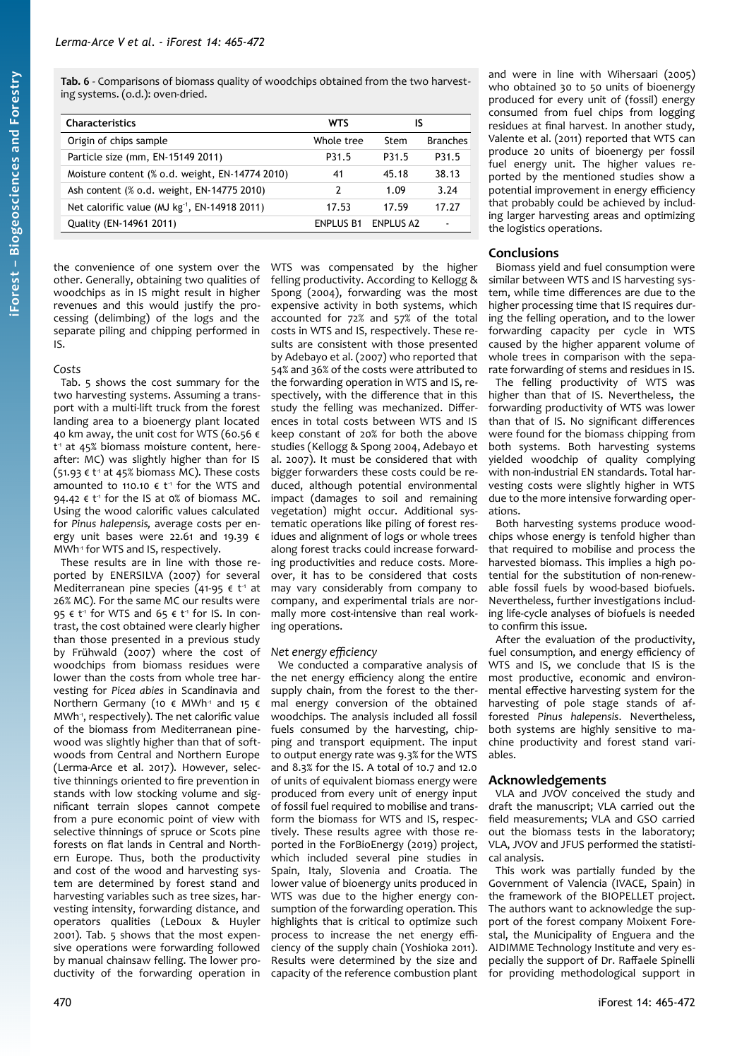<span id="page-5-0"></span>**Tab. 6** - Comparisons of biomass quality of woodchips obtained from the two harvesting systems. (o.d.): oven-dried.

| <b>Characteristics</b>                                    | WTS        | IS               |                 |
|-----------------------------------------------------------|------------|------------------|-----------------|
| Origin of chips sample                                    | Whole tree | Stem             | <b>Branches</b> |
| Particle size (mm, EN-15149 2011)                         | P31.5      | P31.5            | P31.5           |
| Moisture content (% o.d. weight, EN-14774 2010)           | 41         | 45.18            | 38.13           |
| Ash content (% o.d. weight, EN-14775 2010)                | 7          | 1.09             | 3.24            |
| Net calorific value (MJ kg <sup>-1</sup> , EN-14918 2011) | 17.53      | 17 59            | 17.27           |
| Quality (EN-14961 2011)                                   | FNPI US B1 | <b>FNPLUS A2</b> | $\blacksquare$  |

the convenience of one system over the other. Generally, obtaining two qualities of woodchips as in IS might result in higher revenues and this would justify the processing (delimbing) of the logs and the separate piling and chipping performed in IS.

#### *Costs*

[Tab. 5](#page-4-0) shows the cost summary for the two harvesting systems. Assuming a transport with a multi-lift truck from the forest landing area to a bioenergy plant located 40 km away, the unit cost for WTS (60.56 € t<sup>1</sup> at 45% biomass moisture content, hereafter: MC) was slightly higher than for IS  $(51.93 \in t^{\frac{1}{1}}$  at 45% biomass MC). These costs amounted to 110.10  $\epsilon$  t<sup>1</sup> for the WTS and 94.42 €  $t<sup>1</sup>$  for the IS at 0% of biomass MC. Using the wood calorific values calculated for *Pinus halepensis,* average costs per energy unit bases were 22.61 and 19.39  $\epsilon$ MWh<sup>1</sup> for WTS and IS, respectively.

These results are in line with those reported by ENERSILVA (2007) for several Mediterranean pine species (41-95  $\epsilon$  t<sup>-1</sup> at 26% MC). For the same MC our results were 95 €  $t^1$  for WTS and 65 €  $t^1$  for IS. In contrast, the cost obtained were clearly higher than those presented in a previous study by Frühwald (2007) where the cost of woodchips from biomass residues were lower than the costs from whole tree harvesting for *Picea abies* in Scandinavia and Northern Germany (10  $\epsilon$  MWh<sup>-1</sup> and 15  $\epsilon$ MWh<sup>-1</sup>, respectively). The net calorific value of the biomass from Mediterranean pinewood was slightly higher than that of softwoods from Central and Northern Europe (Lerma-Arce et al. 2017). However, selective thinnings oriented to fire prevention in stands with low stocking volume and significant terrain slopes cannot compete from a pure economic point of view with selective thinnings of spruce or Scots pine forests on flat lands in Central and Northern Europe. Thus, both the productivity and cost of the wood and harvesting system are determined by forest stand and harvesting variables such as tree sizes, harvesting intensity, forwarding distance, and operators qualities (LeDoux & Huyler 2001). [Tab. 5](#page-4-0) shows that the most expensive operations were forwarding followed by manual chainsaw felling. The lower productivity of the forwarding operation in WTS was compensated by the higher felling productivity. According to Kellogg & Spong (2004), forwarding was the most expensive activity in both systems, which accounted for 72% and 57% of the total costs in WTS and IS, respectively. These results are consistent with those presented by Adebayo et al. (2007) who reported that 54% and 36% of the costs were attributed to the forwarding operation in WTS and IS, respectively, with the difference that in this study the felling was mechanized. Differences in total costs between WTS and IS keep constant of 20% for both the above studies (Kellogg & Spong 2004, Adebayo et al. 2007). It must be considered that with bigger forwarders these costs could be reduced, although potential environmental impact (damages to soil and remaining vegetation) might occur. Additional systematic operations like piling of forest residues and alignment of logs or whole trees along forest tracks could increase forwarding productivities and reduce costs. Moreover, it has to be considered that costs may vary considerably from company to company, and experimental trials are normally more cost-intensive than real working operations.

# *Net energy efficiency*

We conducted a comparative analysis of the net energy efficiency along the entire supply chain, from the forest to the thermal energy conversion of the obtained woodchips. The analysis included all fossil fuels consumed by the harvesting, chipping and transport equipment. The input to output energy rate was 9.3% for the WTS and 8.3% for the IS. A total of 10.7 and 12.0 of units of equivalent biomass energy were produced from every unit of energy input of fossil fuel required to mobilise and transform the biomass for WTS and IS, respectively. These results agree with those reported in the ForBioEnergy (2019) project, which included several pine studies in Spain, Italy, Slovenia and Croatia. The lower value of bioenergy units produced in WTS was due to the higher energy consumption of the forwarding operation. This highlights that is critical to optimize such process to increase the net energy efficiency of the supply chain (Yoshioka 2011). Results were determined by the size and capacity of the reference combustion plant and were in line with Wihersaari (2005) who obtained 30 to 50 units of bioenergy produced for every unit of (fossil) energy consumed from fuel chips from logging residues at final harvest. In another study, Valente et al. (2011) reported that WTS can produce 20 units of bioenergy per fossil fuel energy unit. The higher values reported by the mentioned studies show a potential improvement in energy efficiency that probably could be achieved by including larger harvesting areas and optimizing the logistics operations.

# **Conclusions**

Biomass yield and fuel consumption were similar between WTS and IS harvesting system, while time differences are due to the higher processing time that IS requires during the felling operation, and to the lower forwarding capacity per cycle in WTS caused by the higher apparent volume of whole trees in comparison with the separate forwarding of stems and residues in IS.

The felling productivity of WTS was higher than that of IS. Nevertheless, the forwarding productivity of WTS was lower than that of IS. No significant differences were found for the biomass chipping from both systems. Both harvesting systems yielded woodchip of quality complying with non-industrial EN standards. Total harvesting costs were slightly higher in WTS due to the more intensive forwarding operations.

Both harvesting systems produce woodchips whose energy is tenfold higher than that required to mobilise and process the harvested biomass. This implies a high potential for the substitution of non-renewable fossil fuels by wood-based biofuels. Nevertheless, further investigations including life-cycle analyses of biofuels is needed to confirm this issue.

After the evaluation of the productivity, fuel consumption, and energy efficiency of WTS and IS, we conclude that IS is the most productive, economic and environmental effective harvesting system for the harvesting of pole stage stands of afforested *Pinus halepensis*. Nevertheless, both systems are highly sensitive to machine productivity and forest stand variables.

# **Acknowledgements**

VLA and JVOV conceived the study and draft the manuscript; VLA carried out the field measurements; VLA and GSO carried out the biomass tests in the laboratory; VLA, JVOV and JFUS performed the statistical analysis.

This work was partially funded by the Government of Valencia (IVACE, Spain) in the framework of the BIOPELLET project. The authors want to acknowledge the support of the forest company Moixent Forestal, the Municipality of Enguera and the AIDIMME Technology Institute and very especially the support of Dr. Raffaele Spinelli for providing methodological support in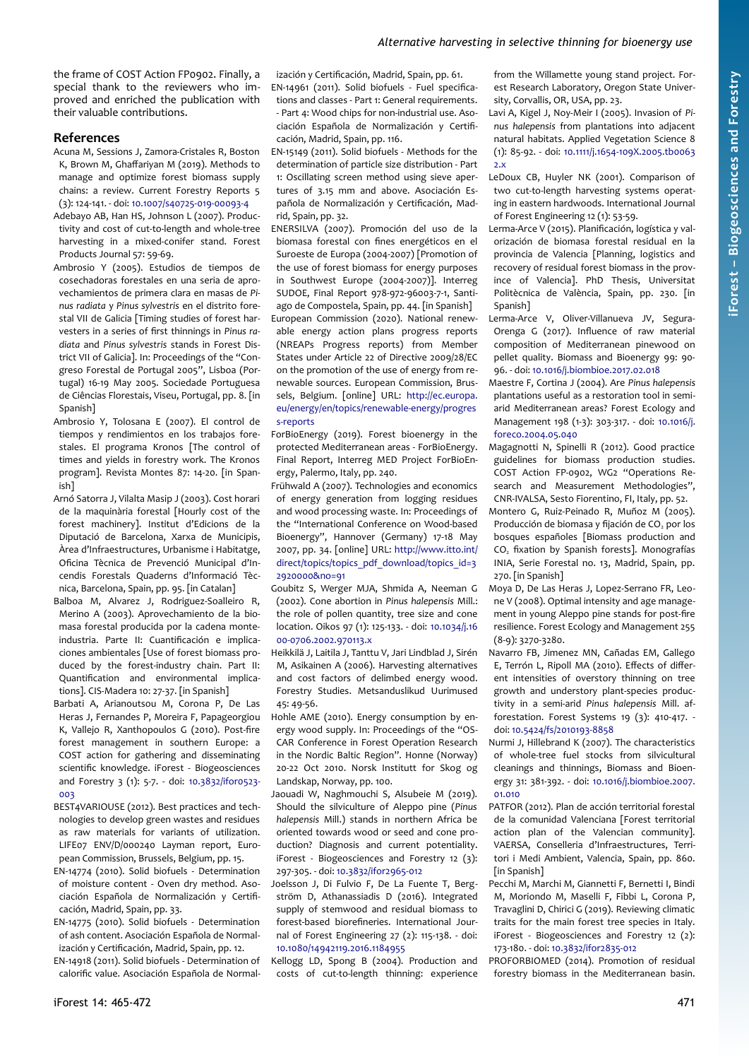the frame of COST Action FP0902. Finally, a special thank to the reviewers who improved and enriched the publication with their valuable contributions.

#### **References**

- Acuna M, Sessions J, Zamora-Cristales R, Boston K, Brown M, Ghaffariyan M (2019). Methods to manage and optimize forest biomass supply chains: a review. Current Forestry Reports 5 (3): 124-141. - doi: [10.1007/s40725-019-00093-4](https://doi.org/10.1007/s40725-019-00093-4)
- Adebayo AB, Han HS, Johnson L (2007). Productivity and cost of cut-to-length and whole-tree harvesting in a mixed-conifer stand. Forest Products Journal 57: 59-69.
- Ambrosio Y (2005). Estudios de tiempos de cosechadoras forestales en una seria de aprovechamientos de primera clara en masas de *Pinus radiata* y *Pinus sylvestris* en el distrito forestal VII de Galicia [Timing studies of forest harvesters in a series of first thinnings in *Pinus radiata* and *Pinus sylvestris* stands in Forest District VII of Galicia]. In: Proceedings of the "Congreso Forestal de Portugal 2005", Lisboa (Portugal) 16-19 May 2005. Sociedade Portuguesa de Ciências Florestais, Viseu, Portugal, pp. 8. [in Spanish]
- Ambrosio Y, Tolosana E (2007). El control de tiempos y rendimientos en los trabajos forestales. El programa Kronos [The control of times and yields in forestry work. The Kronos program]. Revista Montes 87: 14-20. [in Spanish]
- Arnó Satorra J, Vilalta Masip J (2003). Cost horari de la maquinària forestal [Hourly cost of the forest machinery]. Institut d'Edicions de la Diputació de Barcelona, Xarxa de Municipis, Àrea d'Infraestructures, Urbanisme i Habitatge, Oficina Tècnica de Prevenció Municipal d'Incendis Forestals Quaderns d'Informació Tècnica, Barcelona, Spain, pp. 95. [in Catalan]
- Balboa M, Alvarez J, Rodriguez-Soalleiro R, Merino A (2003). Aprovechamiento de la biomasa forestal producida por la cadena monteindustria. Parte II: Cuantificación e implicaciones ambientales [Use of forest biomass produced by the forest-industry chain. Part II: Quantification and environmental implications]. CIS-Madera 10: 27-37. [in Spanish]
- Barbati A, Arianoutsou M, Corona P, De Las Heras J, Fernandes P, Moreira F, Papageorgiou K, Vallejo R, Xanthopoulos G (2010). Post-fire forest management in southern Europe: a COST action for gathering and disseminating scientific knowledge. iForest - Biogeosciences and Forestry 3 (1): 5-7. - doi: [10.3832/ifor0523-](https://doi.org/10.3832/ifor0523-003) [003](https://doi.org/10.3832/ifor0523-003)
- BEST4VARIOUSE (2012). Best practices and technologies to develop green wastes and residues as raw materials for variants of utilization. LIFE07 ENV/D/000240 Layman report, European Commission, Brussels, Belgium, pp. 15.
- EN-14774 (2010). Solid biofuels Determination of moisture content - Oven dry method. Asociación Española de Normalización y Certificación, Madrid, Spain, pp. 33.
- EN-14775 (2010). Solid biofuels Determination of ash content. Asociación Española de Normalización y Certificación, Madrid, Spain, pp. 12.

EN-14918 (2011). Solid biofuels - Determination of calorific value. Asociación Española de Normal-

ización y Certificación, Madrid, Spain, pp. 61. EN-14961 (2011). Solid biofuels - Fuel specifications and classes - Part 1: General requirements. - Part 4: Wood chips for non-industrial use. Asociación Española de Normalización y Certificación, Madrid, Spain, pp. 116.

EN-15149 (2011). Solid biofuels - Methods for the determination of particle size distribution - Part 1: Oscillating screen method using sieve apertures of 3.15 mm and above. Asociación Española de Normalización y Certificación, Madrid, Spain, pp. 32.

ENERSILVA (2007). Promoción del uso de la biomasa forestal con fines energéticos en el Suroeste de Europa (2004-2007) [Promotion of the use of forest biomass for energy purposes in Southwest Europe (2004-2007)]. Interreg SUDOE, Final Report 978-972-96003-7-1, Santiago de Compostela, Spain, pp. 44. [in Spanish]

European Commission (2020). National renewable energy action plans progress reports (NREAPs Progress reports) from Member States under Article 22 of Directive 2009/28/EC on the promotion of the use of energy from renewable sources. European Commission, Brussels, Belgium. [online] URL: [http://ec.europa.](http://ec.europa.eu/energy/en/topics/renewable-energy/progress-reports) [eu/energy/en/topics/renewable-energy/progres](http://ec.europa.eu/energy/en/topics/renewable-energy/progress-reports) [s-reports](http://ec.europa.eu/energy/en/topics/renewable-energy/progress-reports)

ForBioEnergy (2019). Forest bioenergy in the protected Mediterranean areas - ForBioEnergy. Final Report, Interreg MED Project ForBioEnergy, Palermo, Italy, pp. 240.

- Frühwald A (2007). Technologies and economics of energy generation from logging residues and wood processing waste. In: Proceedings of the "International Conference on Wood-based Bioenergy", Hannover (Germany) 17-18 May 2007, pp. 34. [online] URL: [http://www.itto.int/](https://www.itto.int/direct/topics/topics_pdf_download/topics_id=32920000&no=91) [direct/topics/topics\\_pdf\\_download/topics\\_id=3](https://www.itto.int/direct/topics/topics_pdf_download/topics_id=32920000&no=91) [2920000&no=91](https://www.itto.int/direct/topics/topics_pdf_download/topics_id=32920000&no=91)
- Goubitz S, Werger MJA, Shmida A, Neeman G (2002). Cone abortion in *Pinus halepensis* Mill.: the role of pollen quantity, tree size and cone location. Oikos 97 (1): 125-133. - doi: [10.1034/j.16](https://doi.org/10.1034/j.1600-0706.2002.970113.x) [00-0706.2002.970113.x](https://doi.org/10.1034/j.1600-0706.2002.970113.x)
- Heikkilä J, Laitila J, Tanttu V, Jari Lindblad J, Sirén M, Asikainen A (2006). Harvesting alternatives and cost factors of delimbed energy wood. Forestry Studies. Metsanduslikud Uurimused 45: 49-56.
- Hohle AME (2010). Energy consumption by energy wood supply. In: Proceedings of the "OS-CAR Conference in Forest Operation Research in the Nordic Baltic Region". Honne (Norway) 20-22 Oct 2010. Norsk Institutt for Skog og Landskap, Norway, pp. 100.
- Jaouadi W, Naghmouchi S, Alsubeie M (2019). Should the silviculture of Aleppo pine (*Pinus halepensis* Mill.) stands in northern Africa be oriented towards wood or seed and cone production? Diagnosis and current potentiality. iForest - Biogeosciences and Forestry 12 (3): 297-305. - doi: [10.3832/ifor2965-012](https://doi.org/10.3832/ifor2965-012)
- Joelsson J, Di Fulvio F, De La Fuente T, Bergström D, Athanassiadis D (2016). Integrated supply of stemwood and residual biomass to forest-based biorefineries. International Journal of Forest Engineering 27 (2): 115-138. - doi: [10.1080/14942119.2016.1184955](https://doi.org/10.1080/14942119.2016.1184955)

Kellogg LD, Spong B (2004). Production and costs of cut-to-length thinning: experience from the Willamette young stand project. Forest Research Laboratory, Oregon State University, Corvallis, OR, USA, pp. 23.

- Lavi A, Kigel J, Noy-Meir I (2005). Invasion of *Pinus halepensis* from plantations into adjacent natural habitats. Applied Vegetation Science 8 (1): 85-92. - doi: [10.1111/j.1654-109X.2005.tb0063](https://doi.org/10.1111/j.1654-109X.2005.tb00632.x)  $2x$
- LeDoux CB, Huyler NK (2001). Comparison of two cut-to-length harvesting systems operating in eastern hardwoods. International Journal of Forest Engineering 12 (1): 53-59.
- Lerma-Arce V (2015). Planificación, logística y valorización de biomasa forestal residual en la provincia de Valencia [Planning, logistics and recovery of residual forest biomass in the province of Valencia]. PhD Thesis, Universitat Politècnica de València, Spain, pp. 230. [in Spanish]
- Lerma-Arce V, Oliver-Villanueva JV, Segura-Orenga G (2017). Influence of raw material composition of Mediterranean pinewood on pellet quality. Biomass and Bioenergy 99: 90- 96. - doi: [10.1016/j.biombioe.2017.02.018](https://doi.org/10.1016/j.biombioe.2017.02.018)
- Maestre F, Cortina J (2004). Are *Pinus halepensis* plantations useful as a restoration tool in semiarid Mediterranean areas? Forest Ecology and Management 198 (1-3): 303-317. - doi: [10.1016/j.](https://doi.org/10.1016/j.foreco.2004.05.040) [foreco.2004.05.040](https://doi.org/10.1016/j.foreco.2004.05.040)
- Magagnotti N, Spinelli R (2012). Good practice guidelines for biomass production studies. COST Action FP-0902, WG2 "Operations Research and Measurement Methodologies", CNR-IVALSA, Sesto Fiorentino, FI, Italy, pp. 52.
- Montero G, Ruiz-Peinado R, Muñoz M (2005). Producción de biomasa y fijación de CO<sub>2</sub> por los bosques españoles [Biomass production and CO<sub>2</sub> fixation by Spanish forests]. Monografías INIA, Serie Forestal no. 13, Madrid, Spain, pp. 270. [in Spanish]
- Moya D, De Las Heras J, Lopez-Serrano FR, Leone V (2008). Optimal intensity and age management in young Aleppo pine stands for post-fire resilience. Forest Ecology and Management 255 (8-9): 3270-3280.
- Navarro FB, Jimenez MN, Cañadas EM, Gallego E, Terrón L, Ripoll MA (2010). Effects of different intensities of overstory thinning on tree growth and understory plant-species productivity in a semi-arid *Pinus halepensis* Mill. afforestation. Forest Systems 19 (3): 410-417. doi: [10.5424/fs/2010193-8858](https://doi.org/10.5424/fs/2010193-8858)
- Nurmi J, Hillebrand K (2007). The characteristics of whole-tree fuel stocks from silvicultural cleanings and thinnings, Biomass and Bioenergy 31: 381-392. - doi: [10.1016/j.biombioe.2007.](https://doi.org/10.1016/j.biombioe.2007.01.010) [01.010](https://doi.org/10.1016/j.biombioe.2007.01.010)
- PATFOR (2012). Plan de acción territorial forestal de la comunidad Valenciana [Forest territorial action plan of the Valencian community]. VAERSA, Conselleria d'Infraestructures, Territori i Medi Ambient, Valencia, Spain, pp. 860. [in Spanish]
- Pecchi M, Marchi M, Giannetti F, Bernetti I, Bindi M, Moriondo M, Maselli F, Fibbi L, Corona P, Travaglini D, Chirici G (2019). Reviewing climatic traits for the main forest tree species in Italy. iForest - Biogeosciences and Forestry 12 (2): 173-180. - doi: [10.3832/ifor2835-012](https://doi.org/10.3832/ifor2835-012)
- PROFORBIOMED (2014). Promotion of residual forestry biomass in the Mediterranean basin.